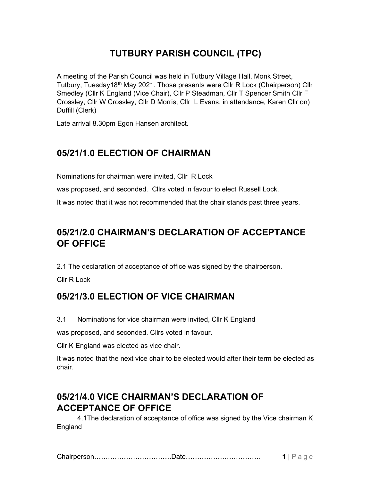# TUTBURY PARISH COUNCIL (TPC)

A meeting of the Parish Council was held in Tutbury Village Hall, Monk Street, Tutbury, Tuesday18<sup>th</sup> May 2021. Those presents were Cllr R Lock (Chairperson) Cllr Smedley (Cllr K England (Vice Chair), Cllr P Steadman, Cllr T Spencer Smith Cllr F Crossley, Cllr W Crossley, Cllr D Morris, Cllr L Evans, in attendance, Karen Cllr on) Duffill (Clerk)

Late arrival 8.30pm Egon Hansen architect.

### 05/21/1.0 ELECTION OF CHAIRMAN

Nominations for chairman were invited, Cllr R Lock

was proposed, and seconded. Cllrs voted in favour to elect Russell Lock.

It was noted that it was not recommended that the chair stands past three years.

# 05/21/2.0 CHAIRMAN'S DECLARATION OF ACCEPTANCE OF OFFICE

2.1 The declaration of acceptance of office was signed by the chairperson.

Cllr R Lock

## 05/21/3.0 ELECTION OF VICE CHAIRMAN

3.1 Nominations for vice chairman were invited, Cllr K England

was proposed, and seconded. Cllrs voted in favour.

Cllr K England was elected as vice chair.

It was noted that the next vice chair to be elected would after their term be elected as chair.

## 05/21/4.0 VICE CHAIRMAN'S DECLARATION OF ACCEPTANCE OF OFFICE

 4.1The declaration of acceptance of office was signed by the Vice chairman K England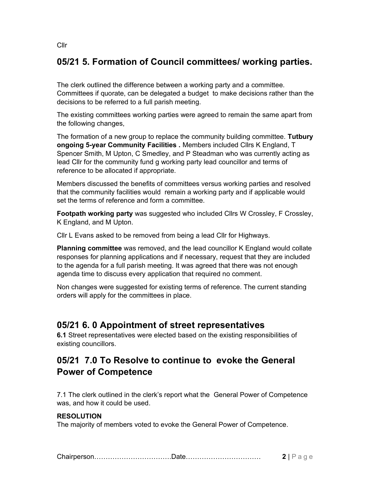## 05/21 5. Formation of Council committees/ working parties.

The clerk outlined the difference between a working party and a committee. Committees if quorate, can be delegated a budget to make decisions rather than the decisions to be referred to a full parish meeting.

The existing committees working parties were agreed to remain the same apart from the following changes,

The formation of a new group to replace the community building committee. Tutbury ongoing 5-year Community Facilities . Members included Cllrs K England, T Spencer Smith, M Upton, C Smedley, and P Steadman who was currently acting as lead Cllr for the community fund g working party lead councillor and terms of reference to be allocated if appropriate.

Members discussed the benefits of committees versus working parties and resolved that the community facilities would remain a working party and if applicable would set the terms of reference and form a committee.

Footpath working party was suggested who included Cllrs W Crossley, F Crossley, K England, and M Upton.

Cllr L Evans asked to be removed from being a lead Cllr for Highways.

Planning committee was removed, and the lead councillor K England would collate responses for planning applications and if necessary, request that they are included to the agenda for a full parish meeting. It was agreed that there was not enough agenda time to discuss every application that required no comment.

Non changes were suggested for existing terms of reference. The current standing orders will apply for the committees in place.

#### 05/21 6. 0 Appointment of street representatives

6.1 Street representatives were elected based on the existing responsibilities of existing councillors.

## 05/21 7.0 To Resolve to continue to evoke the General Power of Competence

7.1 The clerk outlined in the clerk's report what the General Power of Competence was, and how it could be used.

#### RESOLUTION

The majority of members voted to evoke the General Power of Competence.

Cllr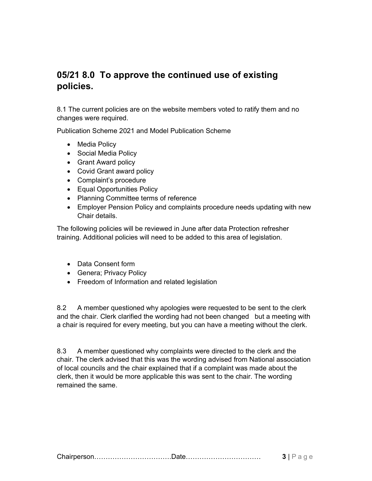### 05/21 8.0 To approve the continued use of existing policies.

8.1 The current policies are on the website members voted to ratify them and no changes were required.

Publication Scheme 2021 and Model Publication Scheme

- Media Policy
- Social Media Policy
- Grant Award policy
- Covid Grant award policy
- Complaint's procedure
- Equal Opportunities Policy
- Planning Committee terms of reference
- Employer Pension Policy and complaints procedure needs updating with new Chair details.

The following policies will be reviewed in June after data Protection refresher training. Additional policies will need to be added to this area of legislation.

- Data Consent form
- Genera; Privacy Policy
- Freedom of Information and related legislation

8.2 A member questioned why apologies were requested to be sent to the clerk and the chair. Clerk clarified the wording had not been changed but a meeting with a chair is required for every meeting, but you can have a meeting without the clerk.

8.3 A member questioned why complaints were directed to the clerk and the chair. The clerk advised that this was the wording advised from National association of local councils and the chair explained that if a complaint was made about the clerk, then it would be more applicable this was sent to the chair. The wording remained the same.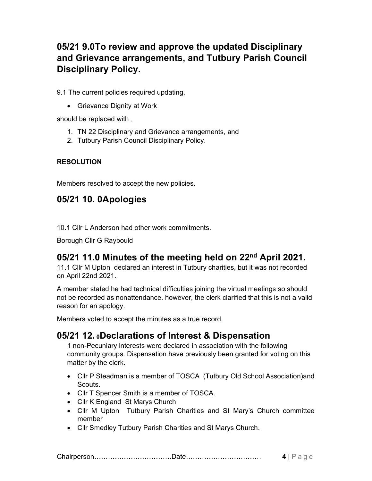# 05/21 9.0To review and approve the updated Disciplinary and Grievance arrangements, and Tutbury Parish Council Disciplinary Policy.

9.1 The current policies required updating,

• Grievance Dignity at Work

should be replaced with

- 1. TN 22 Disciplinary and Grievance arrangements, and
- 2. Tutbury Parish Council Disciplinary Policy.

#### RESOLUTION

Members resolved to accept the new policies.

## 05/21 10. 0Apologies

10.1 Cllr L Anderson had other work commitments.

Borough Cllr G Raybould

## 05/21 11.0 Minutes of the meeting held on 22<sup>nd</sup> April 2021.

11.1 Cllr M Upton declared an interest in Tutbury charities, but it was not recorded on April 22nd 2021.

A member stated he had technical difficulties joining the virtual meetings so should not be recorded as nonattendance. however, the clerk clarified that this is not a valid reason for an apology.

Members voted to accept the minutes as a true record.

## 05/21 12. 0Declarations of Interest & Dispensation

The Ecolusia and Indianal methods and the section of an apology.<br>
Members voted to accept the minutes as a true record.<br> **OS/21 12. oDeclarations of Interest & Dispensation**<br>
1 non-Pecuniary interests were declared in asso 1 non-Pecuniary interests were declared in association with the following community groups. Dispensation have previously been granted for voting on this matter by the clerk.

- Cllr P Steadman is a member of TOSCA (Tutbury Old School Association)and Scouts.
- Cllr T Spencer Smith is a member of TOSCA.
- Cllr K England St Marys Church
- Cllr M Upton Tutbury Parish Charities and St Mary's Church committee member
- Cllr Smedley Tutbury Parish Charities and St Marys Church.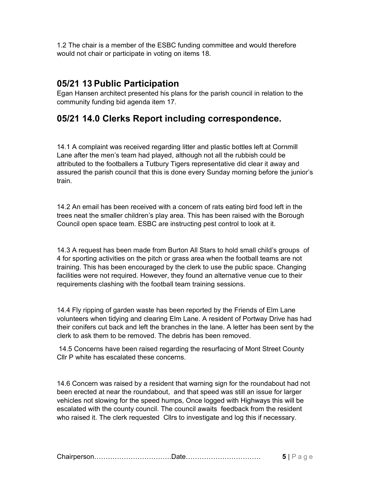1.2 The chair is a member of the ESBC funding committee and would therefore would not chair or participate in voting on items 18.

## 05/21 13 Public Participation

Egan Hansen architect presented his plans for the parish council in relation to the community funding bid agenda item 17.

### 05/21 14.0 Clerks Report including correspondence.

14.1 A complaint was received regarding litter and plastic bottles left at Cornmill Lane after the men's team had played, although not all the rubbish could be attributed to the footballers a Tutbury Tigers representative did clear it away and assured the parish council that this is done every Sunday morning before the junior's train.

14.2 An email has been received with a concern of rats eating bird food left in the trees neat the smaller children's play area. This has been raised with the Borough Council open space team. ESBC are instructing pest control to look at it.

14.3 A request has been made from Burton All Stars to hold small child's groups of 4 for sporting activities on the pitch or grass area when the football teams are not training. This has been encouraged by the clerk to use the public space. Changing facilities were not required. However, they found an alternative venue cue to their requirements clashing with the football team training sessions.

14.4 Fly ripping of garden waste has been reported by the Friends of Elm Lane volunteers when tidying and clearing Elm Lane. A resident of Portway Drive has had their conifers cut back and left the branches in the lane. A letter has been sent by the clerk to ask them to be removed. The debris has been removed.

 14.5 Concerns have been raised regarding the resurfacing of Mont Street County Cllr P white has escalated these concerns.

14.6 Concern was raised by a resident that warning sign for the roundabout had not been erected at near the roundabout, and that speed was still an issue for larger vehicles not slowing for the speed humps, Once logged with Highways this will be escalated with the county council. The council awaits feedback from the resident who raised it. The clerk requested Cllrs to investigate and log this if necessary.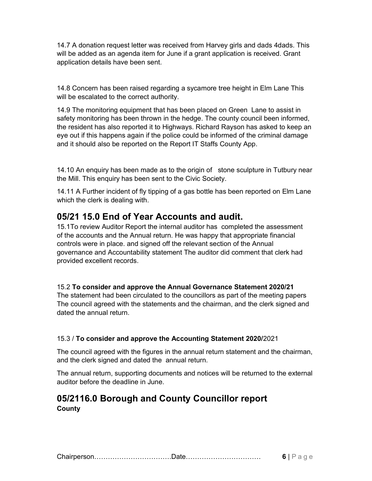14.7 A donation request letter was received from Harvey girls and dads 4dads. This will be added as an agenda item for June if a grant application is received. Grant application details have been sent.

14.8 Concern has been raised regarding a sycamore tree height in Elm Lane This will be escalated to the correct authority.

14.9 The monitoring equipment that has been placed on Green Lane to assist in safety monitoring has been thrown in the hedge. The county council been informed, the resident has also reported it to Highways. Richard Rayson has asked to keep an eye out if this happens again if the police could be informed of the criminal damage and it should also be reported on the Report IT Staffs County App.

14.10 An enquiry has been made as to the origin of stone sculpture in Tutbury near the Mill. This enquiry has been sent to the Civic Society.

14.11 A Further incident of fly tipping of a gas bottle has been reported on Elm Lane which the clerk is dealing with.

### 05/21 15.0 End of Year Accounts and audit.

15.1To review Auditor Report the internal auditor has completed the assessment of the accounts and the Annual return. He was happy that appropriate financial controls were in place. and signed off the relevant section of the Annual governance and Accountability statement The auditor did comment that clerk had provided excellent records.

#### 15.2 To consider and approve the Annual Governance Statement 2020/21

The statement had been circulated to the councillors as part of the meeting papers The council agreed with the statements and the chairman, and the clerk signed and dated the annual return.

#### 15.3 / To consider and approve the Accounting Statement 2020/2021

The council agreed with the figures in the annual return statement and the chairman, and the clerk signed and dated the annual return.

The annual return, supporting documents and notices will be returned to the external auditor before the deadline in June.

#### 05/2116.0 Borough and County Councillor report **County**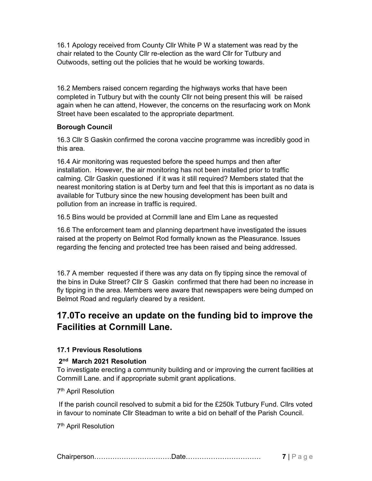16.1 Apology received from County Cllr White P W a statement was read by the chair related to the County Cllr re-election as the ward Cllr for Tutbury and Outwoods, setting out the policies that he would be working towards.

16.2 Members raised concern regarding the highways works that have been completed in Tutbury but with the county Cllr not being present this will be raised again when he can attend, However, the concerns on the resurfacing work on Monk Street have been escalated to the appropriate department.

#### Borough Council

16.3 Cllr S Gaskin confirmed the corona vaccine programme was incredibly good in this area.

16.4 Air monitoring was requested before the speed humps and then after installation. However, the air monitoring has not been installed prior to traffic calming. Cllr Gaskin questioned if it was it still required? Members stated that the nearest monitoring station is at Derby turn and feel that this is important as no data is available for Tutbury since the new housing development has been built and pollution from an increase in traffic is required.

16.5 Bins would be provided at Cornmill lane and Elm Lane as requested

16.6 The enforcement team and planning department have investigated the issues raised at the property on Belmot Rod formally known as the Pleasurance. Issues regarding the fencing and protected tree has been raised and being addressed.

16.7 A member requested if there was any data on fly tipping since the removal of the bins in Duke Street? Cllr S Gaskin confirmed that there had been no increase in fly tipping in the area. Members were aware that newspapers were being dumped on Belmot Road and regularly cleared by a resident.

## 17.0To receive an update on the funding bid to improve the Facilities at Cornmill Lane.

#### 17.1 Previous Resolutions

#### 2<sup>nd</sup> March 2021 Resolution

To investigate erecting a community building and or improving the current facilities at Cornmill Lane. and if appropriate submit grant applications.

#### 7 th April Resolution

If the parish council resolved to submit a bid for the £250k Tutbury Fund. Cllrs voted in favour to nominate Cllr Steadman to write a bid on behalf of the Parish Council.

7 th April Resolution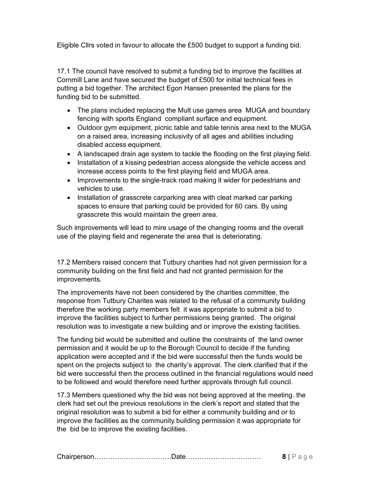Eligible Cllrs voted in favour to allocate the £500 budget to support a funding bid.

17.1 The council have resolved to submit a funding bid to improve the facilities at Cornmill Lane and have secured the budget of £500 for initial technical fees in putting a bid together. The architect Egon Hansen presented the plans for the funding bid to be submitted.

- The plans included replacing the Mult use games area MUGA and boundary fencing with sports England compliant surface and equipment.
- Outdoor gym equipment, picnic table and table tennis area next to the MUGA on a raised area, increasing inclusivity of all ages and abilities including disabled access equipment.
- A landscaped drain age system to tackle the flooding on the first playing field.
- Installation of a kissing pedestrian access alongside the vehicle access and increase access points to the first playing field and MUGA area.
- Improvements to the single-track road making it wider for pedestrians and vehicles to use.
- Installation of grasscrete carparking area with cleat marked car parking spaces to ensure that parking could be provided for 60 cars. By using grasscrete this would maintain the green area.

Such improvements will lead to mire usage of the changing rooms and the overall use of the playing field and regenerate the area that is deteriorating.

17.2 Members raised concern that Tutbury charities had not given permission for a community building on the first field and had not granted permission for the improvements.

The improvements have not been considered by the charities committee, the response from Tutbury Charites was related to the refusal of a community building therefore the working party members felt it was appropriate to submit a bid to improve the facilities subject to further permissions being granted. The original resolution was to investigate a new building and or improve the existing facilities.

The funding bid would be submitted and outline the constraints of the land owner permission and it would be up to the Borough Council to decide if the funding application were accepted and if the bid were successful then the funds would be spent on the projects subject to the charity's approval. The clerk clarified that if the bid were successful then the process outlined in the financial regulations would need to be followed and would therefore need further approvals through full council.

17.3 Members questioned why the bid was not being approved at the meeting. the clerk had set out the previous resolutions in the clerk's report and stated that the original resolution was to submit a bid for either a community building and or to improve the facilities as the community building permission it was appropriate for the bid be to improve the existing facilities.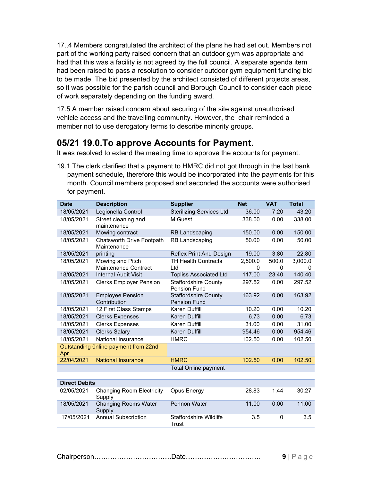17..4 Members congratulated the architect of the plans he had set out. Members not part of the working party raised concern that an outdoor gym was appropriate and had that this was a facility is not agreed by the full council. A separate agenda item had been raised to pass a resolution to consider outdoor gym equipment funding bid to be made. The bid presented by the architect consisted of different projects areas, so it was possible for the parish council and Borough Council to consider each piece of work separately depending on the funding award.

17.5 A member raised concern about securing of the site against unauthorised vehicle access and the travelling community. However, the chair reminded a member not to use derogatory terms to describe minority groups.

### 05/21 19.0.To approve Accounts for Payment.

It was resolved to extend the meeting time to approve the accounts for payment.

19.1 The clerk clarified that a payment to HMRC did not got through in the last bank payment schedule, therefore this would be incorporated into the payments for this month. Council members proposed and seconded the accounts were authorised for payment.

| <b>Date</b>          | <b>Description</b>                              | <b>Supplier</b>                                    | <b>Net</b>   | <b>VAT</b>        | <b>Total</b> |
|----------------------|-------------------------------------------------|----------------------------------------------------|--------------|-------------------|--------------|
| 18/05/2021           | Legionella Control                              | <b>Sterilizing Services Ltd</b>                    | 36.00        | 7.20              | 43.20        |
| 18/05/2021           | Street cleaning and<br>maintenance              | M Guest                                            | 338.00       | 0.00              | 338.00       |
| 18/05/2021           | Mowing contract                                 | <b>RB Landscaping</b>                              | 150.00       | 0.00              | 150.00       |
| 18/05/2021           | <b>Chatsworth Drive Footpath</b><br>Maintenance | <b>RB Landscaping</b>                              | 50.00        | 0.00              | 50.00        |
| 18/05/2021           | printing                                        | Reflex Print And Design                            | 19.00        | 3.80              | 22.80        |
| 18/05/2021           | Mowing and Pitch<br>Maintenance Contract        | <b>TH Health Contracts</b><br>Ltd                  | 2,500.0<br>0 | 500.0<br>$\Omega$ | 3,000.0<br>0 |
| 18/05/2021           | <b>Internal Audit Visit</b>                     | <b>Topliss Associated Ltd</b>                      | 117.00       | 23.40             | 140.40       |
| 18/05/2021           | <b>Clerks Employer Pension</b>                  | <b>Staffordshire County</b><br><b>Pension Fund</b> | 297.52       | 0.00              | 297.52       |
| 18/05/2021           | <b>Employee Pension</b><br>Contribution         | <b>Staffordshire County</b><br><b>Pension Fund</b> | 163.92       | 0.00              | 163.92       |
| 18/05/2021           | 12 First Class Stamps                           | Karen Duffill                                      | 10.20        | 0.00              | 10.20        |
| 18/05/2021           | <b>Clerks Expenses</b>                          | Karen Duffill                                      | 6.73         | 0.00              | 6.73         |
| 18/05/2021           | <b>Clerks Expenses</b>                          | Karen Duffill                                      | 31.00        | 0.00              | 31.00        |
| 18/05/2021           | <b>Clerks Salary</b>                            | Karen Duffill                                      | 954.46       | 0.00              | 954.46       |
| 18/05/2021           | <b>National Insurance</b>                       | <b>HMRC</b>                                        | 102.50       | 0.00              | 102.50       |
| Apr                  | Outstanding Online payment from 22nd            |                                                    |              |                   |              |
| 22/04/2021           | <b>National Insurance</b>                       | <b>HMRC</b>                                        | 102.50       | 0.00              | 102.50       |
|                      |                                                 | <b>Total Online payment</b>                        |              |                   |              |
|                      |                                                 |                                                    |              |                   |              |
| <b>Direct Debits</b> |                                                 |                                                    |              |                   |              |
| 02/05/2021           | <b>Changing Room Electricity</b><br>Supply      | Opus Energy                                        | 28.83        | 1.44              | 30.27        |
| 18/05/2021           | <b>Changing Rooms Water</b><br>Supply           | Pennon Water                                       | 11.00        | 0.00              | 11.00        |
| 17/05/2021           | <b>Annual Subscription</b>                      | Staffordshire Wildlife<br>Trust                    | 3.5          | 0                 | 3.5          |